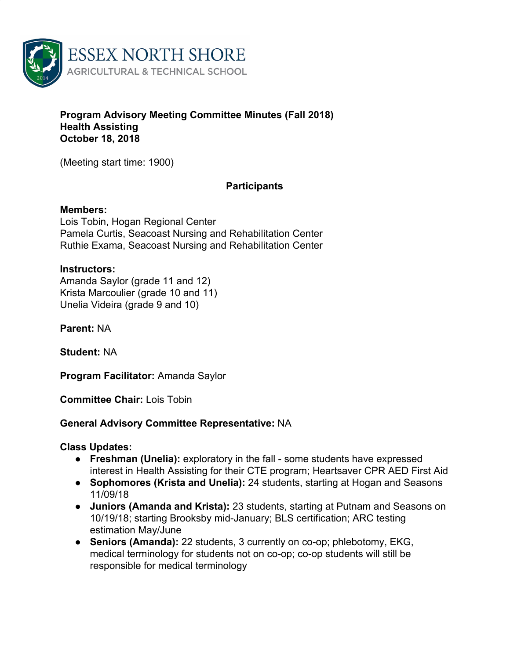

### **Program Advisory Meeting Committee Minutes (Fall 2018) Health Assisting October 18, 2018**

(Meeting start time: 1900)

## **Participants**

### **Members:**

Lois Tobin, Hogan Regional Center Pamela Curtis, Seacoast Nursing and Rehabilitation Center Ruthie Exama, Seacoast Nursing and Rehabilitation Center

### **Instructors:**

Amanda Saylor (grade 11 and 12) Krista Marcoulier (grade 10 and 11) Unelia Videira (grade 9 and 10)

**Parent:** NA

**Student:** NA

**Program Facilitator:** Amanda Saylor

**Committee Chair:** Lois Tobin

## **General Advisory Committee Representative:** NA

### **Class Updates:**

- **● Freshman (Unelia):** exploratory in the fall some students have expressed interest in Health Assisting for their CTE program; Heartsaver CPR AED First Aid
- **● Sophomores (Krista and Unelia):** 24 students, starting at Hogan and Seasons 11/09/18
- **● Juniors (Amanda and Krista):** 23 students, starting at Putnam and Seasons on 10/19/18; starting Brooksby mid-January; BLS certification; ARC testing estimation May/June
- **● Seniors (Amanda):** 22 students, 3 currently on co-op; phlebotomy, EKG, medical terminology for students not on co-op; co-op students will still be responsible for medical terminology